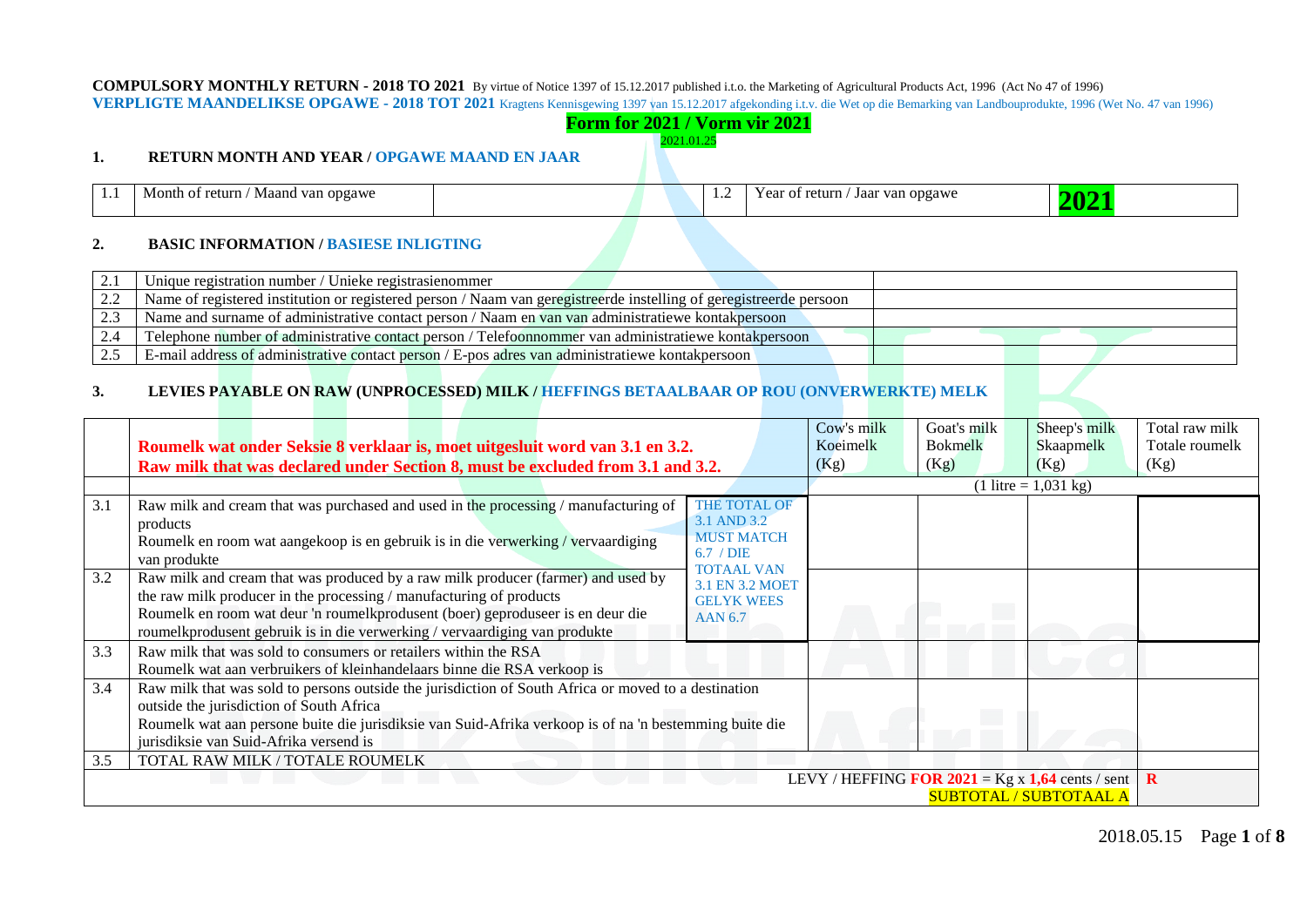## **COMPULSORY MONTHLY RETURN - 2018 TO 2021** By virtue of Notice 1397 of 15.12.2017 published i.t.o. the Marketing of Agricultural Products Act, 1996 (Act No 47 of 1996)

| <b>Form for 2021 / Vorm vir 2021</b><br>2021.01.25<br><b>RETURN MONTH AND YEAR / OPGAWE MAAND EN JAAR</b><br>1. | VERPLIGTE MAANDELIKSE OPGAWE - 2018 TOT 2021 Kragtens Kennisgewing 1397 van 15.12.2017 afgekonding i.t.v. die Wet op die Bemarking van Landbouprodukte, 1996 (Wet No. 47 van 1996) |
|-----------------------------------------------------------------------------------------------------------------|------------------------------------------------------------------------------------------------------------------------------------------------------------------------------------|
|                                                                                                                 |                                                                                                                                                                                    |
|                                                                                                                 |                                                                                                                                                                                    |
| Month of return / Maand van opgawe<br>Year of return / Jaar van opgawe<br>1.1                                   |                                                                                                                                                                                    |
| <b>BASIC INFORMATION / BASIESE INLIGTING</b>                                                                    |                                                                                                                                                                                    |
| 2.1<br>Unique registration number / Unieke registrasienommer                                                    |                                                                                                                                                                                    |

| Name of registered institution or registered person / Naam van geregistreerde instelling of geregistreerde persoon |
|--------------------------------------------------------------------------------------------------------------------|
| Name and surname of administrative contact person / Naam en van van administratiewe kontakpersoon                  |
| Telephone number of administrative contact person / Telefoonnommer van administratiewe kontakpersoon               |
| E-mail address of administrative contact person / E-pos adres van administratiewe kontakpersoon                    |
|                                                                                                                    |

# **3. LEVIES PAYABLE ON RAW (UNPROCESSED) MILK / HEFFINGS BETAALBAAR OP ROU (ONVERWERKTE) MELK**

|                                                                                     | Roumelk wat onder Seksie 8 verklaar is, moet uitgesluit word van 3.1 en 3.2.<br>Raw milk that was declared under Section 8, must be excluded from 3.1 and 3.2.                                                                                                                                                          |                                                                             |  | Cow's milk<br>Koeimelk<br>(Kg) | Goat's milk<br><b>Bokmelk</b><br>(Kg) | Sheep's milk<br>Skaapmelk<br>(Kg) | Total raw milk<br>Totale roumelk<br>(Kg) |
|-------------------------------------------------------------------------------------|-------------------------------------------------------------------------------------------------------------------------------------------------------------------------------------------------------------------------------------------------------------------------------------------------------------------------|-----------------------------------------------------------------------------|--|--------------------------------|---------------------------------------|-----------------------------------|------------------------------------------|
|                                                                                     |                                                                                                                                                                                                                                                                                                                         |                                                                             |  |                                |                                       | $(1$ litre = 1,031 kg)            |                                          |
| 3.1                                                                                 | Raw milk and cream that was purchased and used in the processing / manufacturing of<br>products<br>Roumelk en room wat aangekoop is en gebruik is in die verwerking / vervaardiging<br>van produkte                                                                                                                     | THE TOTAL OF<br>3.1 AND 3.2<br><b>MUST MATCH</b><br>6.7 / DIE               |  |                                |                                       |                                   |                                          |
| 3.2                                                                                 | Raw milk and cream that was produced by a raw milk producer (farmer) and used by<br>the raw milk producer in the processing / manufacturing of products<br>Roumelk en room wat deur 'n roumelkprodusent (boer) geproduseer is en deur die<br>roumelkprodusent gebruik is in die verwerking / vervaardiging van produkte | <b>TOTAAL VAN</b><br>3.1 EN 3.2 MOET<br><b>GELYK WEES</b><br><b>AAN 6.7</b> |  |                                |                                       |                                   |                                          |
| 3.3                                                                                 | Raw milk that was sold to consumers or retailers within the RSA<br>Roumelk wat aan verbruikers of kleinhandelaars binne die RSA verkoop is                                                                                                                                                                              |                                                                             |  |                                |                                       |                                   |                                          |
| 3.4                                                                                 | Raw milk that was sold to persons outside the jurisdiction of South Africa or moved to a destination<br>outside the jurisdiction of South Africa<br>Roumelk wat aan persone buite die jurisdiksie van Suid-Afrika verkoop is of na 'n bestemming buite die<br>jurisdiksie van Suid-Afrika versend is                    |                                                                             |  |                                |                                       |                                   |                                          |
| 3.5                                                                                 | TOTAL RAW MILK / TOTALE ROUMELK                                                                                                                                                                                                                                                                                         |                                                                             |  |                                |                                       |                                   |                                          |
| LEVY / HEFFING FOR 2021 = Kg x 1,64 cents / sent  <br><b>SUBTOTAL / SUBTOTAAL A</b> |                                                                                                                                                                                                                                                                                                                         |                                                                             |  |                                |                                       | $\mathbf R$                       |                                          |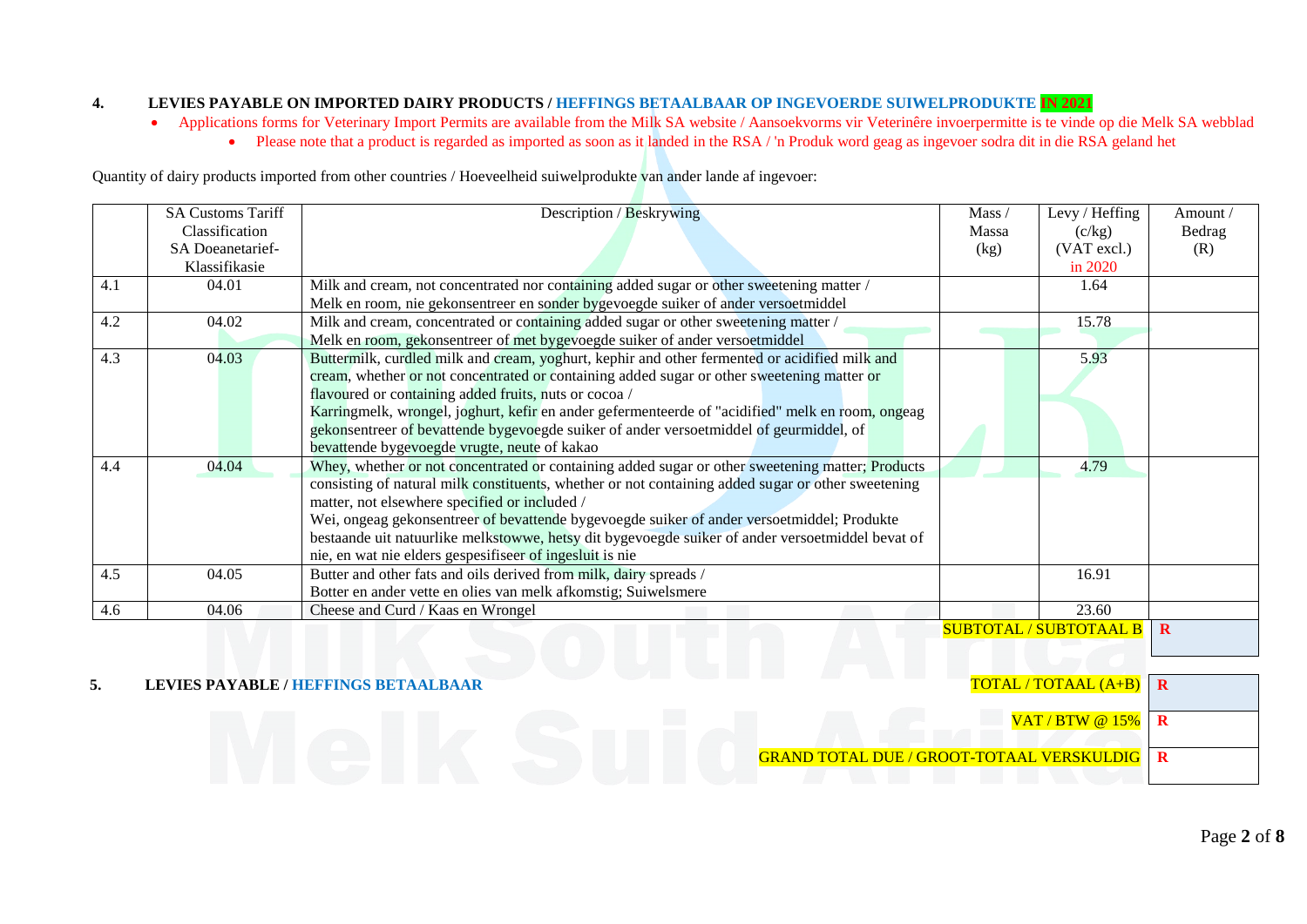### **4. LEVIES PAYABLE ON IMPORTED DAIRY PRODUCTS / HEFFINGS BETAALBAAR OP INGEVOERDE SUIWELPRODUKTE IN 2021**

- Applications forms for Veterinary Import Permits are available from the Milk SA website / Aansoekvorms vir Veterinêre invoerpermitte is te vinde op die Melk SA webblad
	- Please note that a product is regarded as imported as soon as it landed in the RSA / 'n Produk word geag as ingevoer sodra dit in die RSA geland het

Quantity of dairy products imported from other countries / Hoeveelheid suiwelprodukte van ander lande af ingevoer:

|     | <b>SA Customs Tariff</b> | Description / Beskrywing                                                                           | Mass $/$     | Levy / Heffing                | Amount / |
|-----|--------------------------|----------------------------------------------------------------------------------------------------|--------------|-------------------------------|----------|
|     | Classification           |                                                                                                    | <b>Massa</b> | (c/kg)                        | Bedrag   |
|     | SA Doeanetarief-         |                                                                                                    | (kg)         | (VAT excl.)                   | (R)      |
|     | Klassifikasie            |                                                                                                    |              | in 2020                       |          |
| 4.1 | 04.01                    | Milk and cream, not concentrated nor containing added sugar or other sweetening matter /           |              | 1.64                          |          |
|     |                          | Melk en room, nie gekonsentreer en sonder bygevoegde suiker of ander versoetmiddel                 |              |                               |          |
| 4.2 | 04.02                    | Milk and cream, concentrated or containing added sugar or other sweetening matter /                |              | 15.78                         |          |
|     |                          | Melk en room, gekonsentreer of met bygevoegde suiker of ander versoetmiddel                        |              |                               |          |
| 4.3 | 04.03                    | Buttermilk, curdled milk and cream, yoghurt, kephir and other fermented or acidified milk and      |              | 5.93                          |          |
|     |                          | cream, whether or not concentrated or containing added sugar or other sweetening matter or         |              |                               |          |
|     |                          | flavoured or containing added fruits, nuts or cocoa /                                              |              |                               |          |
|     |                          | Karringmelk, wrongel, joghurt, kefir en ander gefermenteerde of "acidified" melk en room, ongeag   |              |                               |          |
|     |                          | gekonsentreer of bevattende bygevoegde suiker of ander versoetmiddel of geurmiddel, of             |              |                               |          |
|     |                          | bevattende bygevoegde vrugte, neute of kakao                                                       |              |                               |          |
| 4.4 | 04.04                    | Whey, whether or not concentrated or containing added sugar or other sweetening matter; Products   |              | 4.79                          |          |
|     |                          | consisting of natural milk constituents, whether or not containing added sugar or other sweetening |              |                               |          |
|     |                          | matter, not elsewhere specified or included /                                                      |              |                               |          |
|     |                          | Wei, ongeag gekonsentreer of bevattende bygevoegde suiker of ander versoetmiddel; Produkte         |              |                               |          |
|     |                          | bestaande uit natuurlike melkstowwe, hetsy dit bygevoegde suiker of ander versoetmiddel bevat of   |              |                               |          |
|     |                          | nie, en wat nie elders gespesifiseer of ingesluit is nie                                           |              |                               |          |
| 4.5 | 04.05                    | Butter and other fats and oils derived from milk, dairy spreads /                                  |              | 16.91                         |          |
|     |                          | Botter en ander vette en olies van melk afkomstig; Suiwelsmere                                     |              |                               |          |
| 4.6 | 04.06                    | Cheese and Curd / Kaas en Wrongel                                                                  |              | 23.60                         |          |
|     |                          |                                                                                                    |              | <b>SUBTOTAL / SUBTOTAAL B</b> |          |

5. LEVIES PAYABLE / HEFFINGS BETAALBAAR

| $\overline{\text{TOTAL}/\text{TOTAL}(A+B)}$ R                     |  |
|-------------------------------------------------------------------|--|
| $VAT/BTW @ 15\%$ R                                                |  |
| <mark>GRAND TOTAL DUE / GROOT-TOTAAL VERSKULDIG</mark>   <b>R</b> |  |

Page **2** of **8**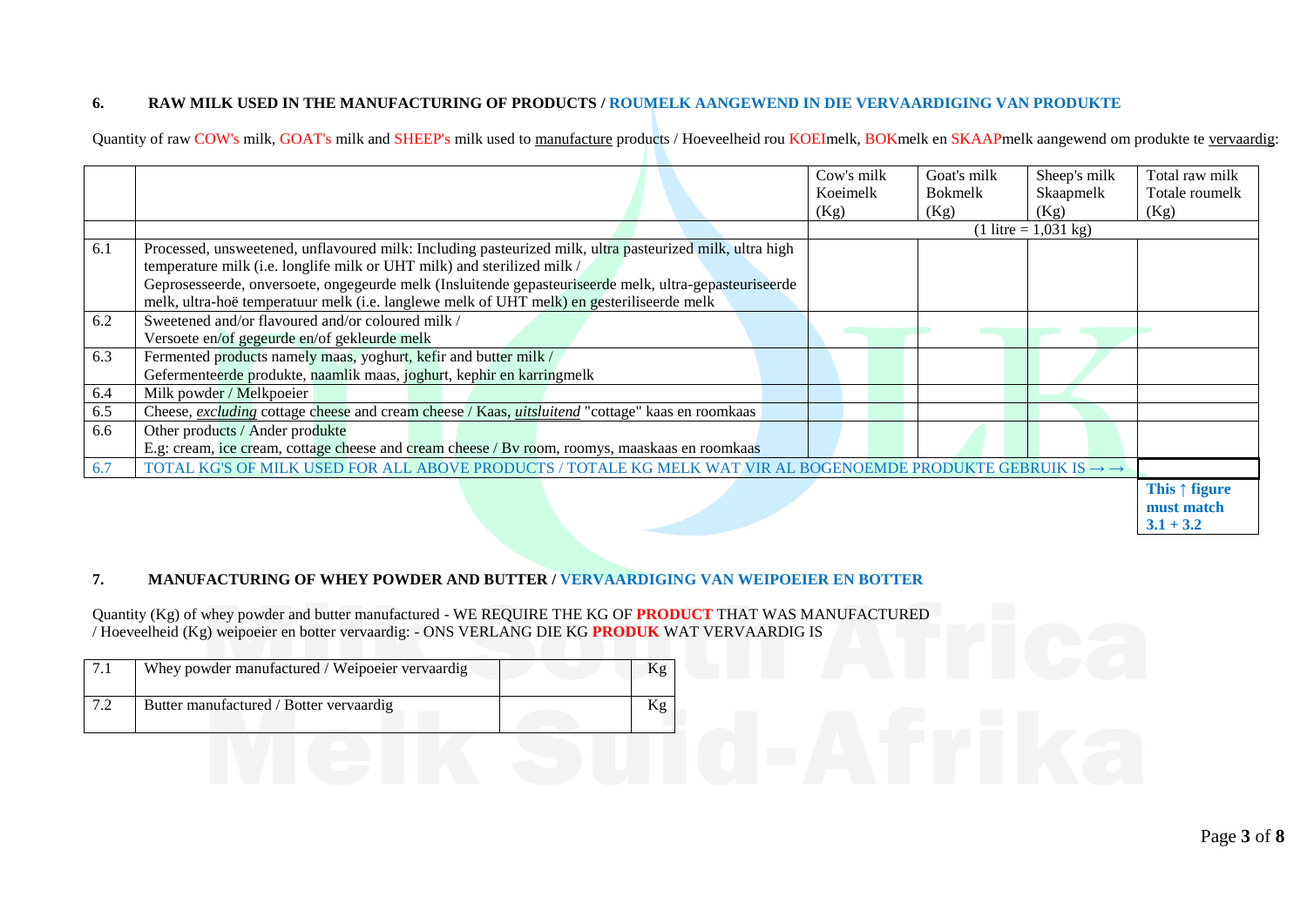### **6. RAW MILK USED IN THE MANUFACTURING OF PRODUCTS / ROUMELK AANGEWEND IN DIE VERVAARDIGING VAN PRODUKTE**

Quantity of raw COW's milk, GOAT's milk and SHEEP's milk used to manufacture products / Hoeveelheid rou KOEImelk, BOKmelk en SKAAPmelk aangewend om produkte te vervaardig:

|     |                                                                                                                                     | Cow's milk | Goat's milk    | Sheep's milk           | Total raw milk                       |
|-----|-------------------------------------------------------------------------------------------------------------------------------------|------------|----------------|------------------------|--------------------------------------|
|     |                                                                                                                                     | Koeimelk   | <b>Bokmelk</b> | Skaapmelk              | Totale roumelk                       |
|     |                                                                                                                                     | (Kg)       | (Kg)           | (Kg)                   | (Kg)                                 |
|     |                                                                                                                                     |            |                | $(1$ litre = 1,031 kg) |                                      |
| 6.1 | Processed, unsweetened, unflavoured milk: Including pasteurized milk, ultra pasteurized milk, ultra high                            |            |                |                        |                                      |
|     | temperature milk (i.e. longlife milk or UHT milk) and sterilized milk /                                                             |            |                |                        |                                      |
|     | Geprosesseerde, onversoete, ongegeurde melk (Insluitende gepasteuriseerde melk, ultra-gepasteuriseerde                              |            |                |                        |                                      |
|     | melk, ultra-hoë temperatuur melk (i.e. langlewe melk of UHT melk) en gesteriliseerde melk                                           |            |                |                        |                                      |
| 6.2 | Sweetened and/or flavoured and/or coloured milk /                                                                                   |            |                |                        |                                      |
|     | Versoete en/of gegeurde en/of gekleurde melk                                                                                        |            |                |                        |                                      |
| 6.3 | Fermented products namely maas, yoghurt, kefir and butter milk /                                                                    |            |                |                        |                                      |
|     | Gefermenteerde produkte, naamlik maas, joghurt, kephir en karringmelk                                                               |            |                |                        |                                      |
| 6.4 | Milk powder / Melkpoeier                                                                                                            |            |                |                        |                                      |
| 6.5 | Cheese, excluding cottage cheese and cream cheese / Kaas, uitsluitend "cottage" kaas en roomkaas                                    |            |                |                        |                                      |
| 6.6 | Other products / Ander produkte                                                                                                     |            |                |                        |                                      |
|     | E.g: cream, ice cream, cottage cheese and cream cheese / Bv room, roomys, maaskaas en roomkaas                                      |            |                |                        |                                      |
| 6.7 | TOTAL KG'S OF MILK USED FOR ALL ABOVE PRODUCTS / TOTALE KG MELK WAT VIR AL BOGENOEMDE PRODUKTE GEBRUIK IS $\rightarrow \rightarrow$ |            |                |                        |                                      |
|     |                                                                                                                                     |            |                |                        | This $\uparrow$ figure<br>must match |
|     |                                                                                                                                     |            |                |                        | $3.1 + 3.2$                          |

#### **7. MANUFACTURING OF WHEY POWDER AND BUTTER / VERVAARDIGING VAN WEIPOEIER EN BOTTER**

Quantity (Kg) of whey powder and butter manufactured - WE REQUIRE THE KG OF **PRODUCT** THAT WAS MANUFACTURED / Hoeveelheid (Kg) weipoeier en botter vervaardig: - ONS VERLANG DIE KG **PRODUK** WAT VERVAARDIG IS

| 7.1 | Whey powder manufactured / Weipoeier vervaardig | Kg |  |  |
|-----|-------------------------------------------------|----|--|--|
| 7.2 | Butter manufactured / Botter vervaardig         | Кg |  |  |
|     |                                                 |    |  |  |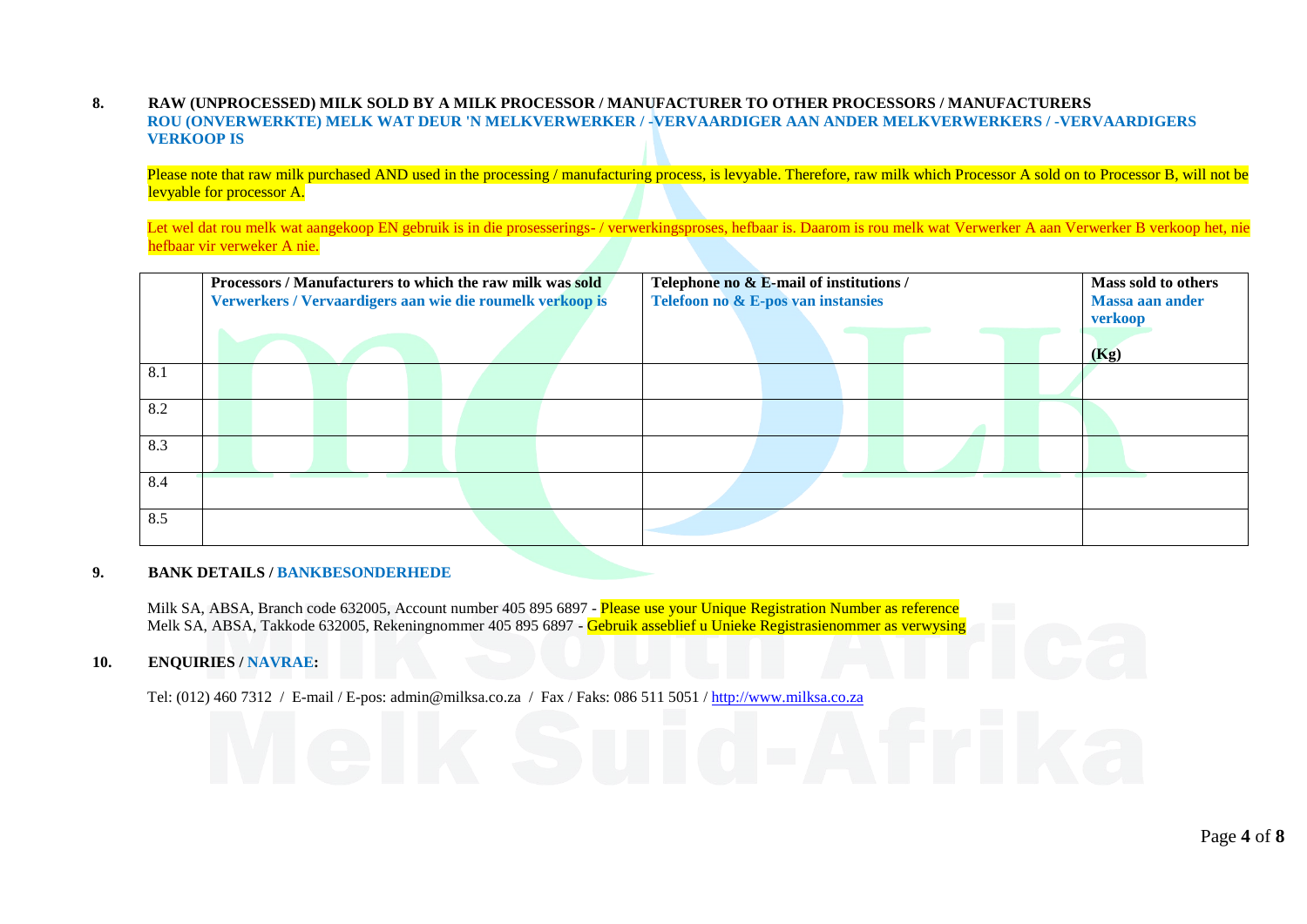#### **8. RAW (UNPROCESSED) MILK SOLD BY A MILK PROCESSOR / MANUFACTURER TO OTHER PROCESSORS / MANUFACTURERS ROU (ONVERWERKTE) MELK WAT DEUR 'N MELKVERWERKER / -VERVAARDIGER AAN ANDER MELKVERWERKERS / -VERVAARDIGERS VERKOOP IS**

Please note that raw milk purchased AND used in the processing / manufacturing process, is levyable. Therefore, raw milk which Processor A sold on to Processor B, will not be levyable for processor A.

Let wel dat rou melk wat aangekoop EN gebruik is in die prosesserings- / verwerkingsproses, hefbaar is. Daarom is rou melk wat Verwerker A aan Verwerker B verkoop het, nie hefbaar vir verweker A nie.

|     | Processors / Manufacturers to which the raw milk was sold<br>Verwerkers / Vervaardigers aan wie die roumelk verkoop is | Telephone no & E-mail of institutions /<br>Telefoon no & E-pos van instansies | Mass sold to others<br><b>Massa aan ander</b><br>verkoop<br>(Kg) |
|-----|------------------------------------------------------------------------------------------------------------------------|-------------------------------------------------------------------------------|------------------------------------------------------------------|
| 8.1 |                                                                                                                        |                                                                               |                                                                  |
| 8.2 |                                                                                                                        |                                                                               |                                                                  |
| 8.3 |                                                                                                                        |                                                                               |                                                                  |
| 8.4 |                                                                                                                        |                                                                               |                                                                  |
| 8.5 |                                                                                                                        |                                                                               |                                                                  |

#### **9. BANK DETAILS / BANKBESONDERHEDE**

Milk SA, ABSA, Branch code 632005, Account number 405 895 6897 - Please use your Unique Registration Number as reference Melk SA, ABSA, Takkode 632005, Rekeningnommer 405 895 6897 - Gebruik asseblief u Unieke Registrasienommer as verwysing

#### **10. ENQUIRIES / NAVRAE:**

Tel: (012) 460 7312 / E-mail / E-pos: admin@milksa.co.za / Fax / Faks: 086 511 5051 / [http://www.milksa.co.za](http://www.milksa.co.za/)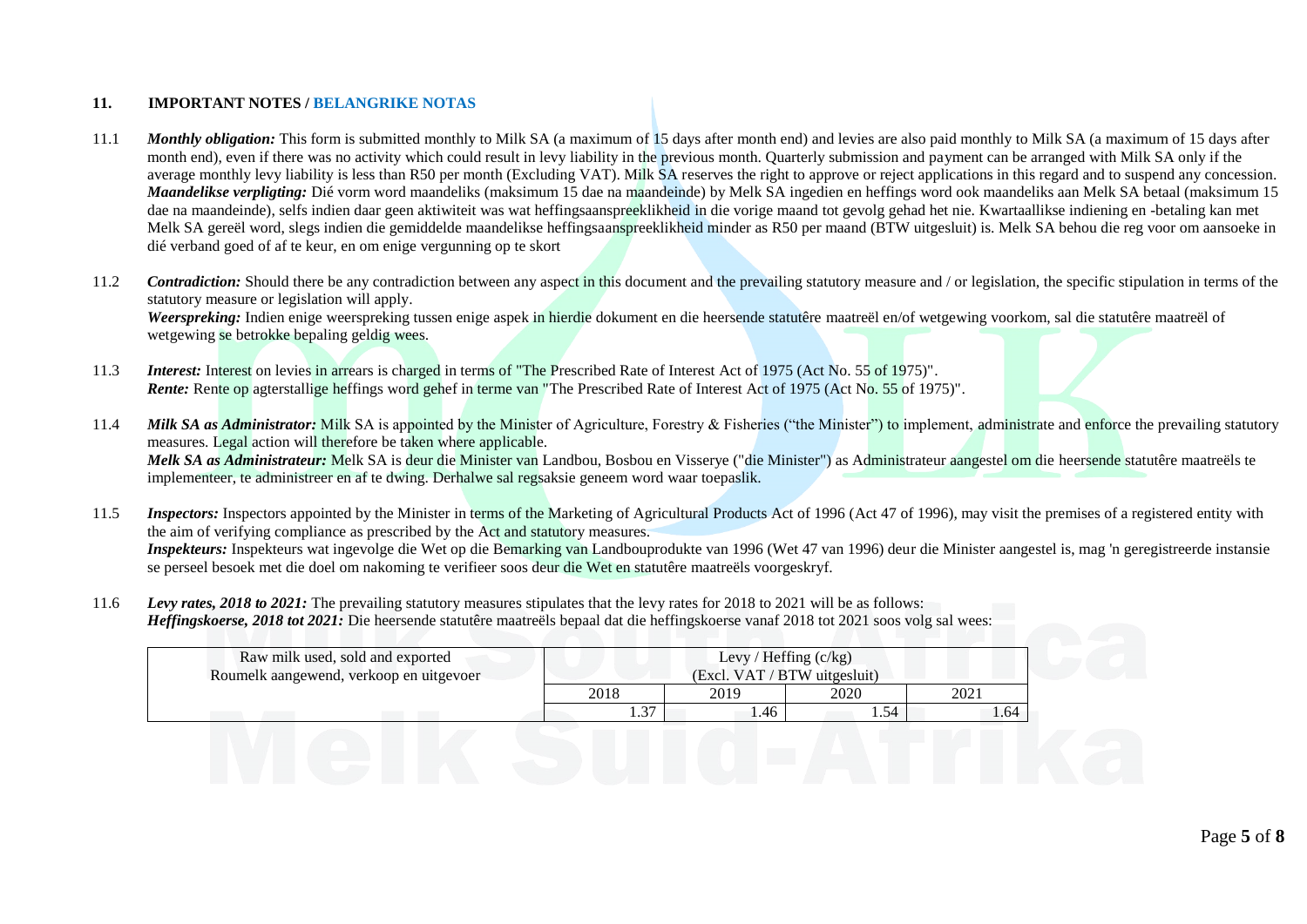#### **11. IMPORTANT NOTES / BELANGRIKE NOTAS**

- 11.1 **Monthly obligation:** This form is submitted monthly to Milk SA (a maximum of 15 days after month end) and levies are also paid monthly to Milk SA (a maximum of 15 days after month end), even if there was no activity which could result in levy liability in the previous month. Quarterly submission and payment can be arranged with Milk SA only if the average monthly levy liability is less than R50 per month (Excluding VAT). Milk SA reserves the right to approve or reject applications in this regard and to suspend any concession. *Maandelikse verpligting: Dié vorm word maandeliks (maksimum 15 dae na maandeinde) by Melk SA ingedien en heffings word ook maandeliks aan Melk SA betaal (maksimum 15* dae na maandeinde), selfs indien daar geen aktiwiteit was wat heffingsaanspreeklikheid in die vorige maand tot gevolg gehad het nie. Kwartaallikse indiening en -betaling kan met Melk SA gereël word, slegs indien die gemiddelde maandelikse heffingsaanspreeklikheid minder as R50 per maand (BTW uitgesluit) is. Melk SA behou die reg voor om aansoeke in dié verband goed of af te keur, en om enige vergunning op te skort
- 11.2 **Contradiction:** Should there be any contradiction between any aspect in this document and the prevailing statutory measure and / or legislation, the specific stipulation in terms of the statutory measure or legislation will apply. *Weerspreking:* Indien enige weerspreking tussen enige aspek in hierdie dokument en die heersende statutêre maatreël en/of wetgewing voorkom, sal die statutêre maatreël of wetgewing se betrokke bepaling geldig wees.
- 11.3 *Interest:* Interest on levies in arrears is charged in terms of "The Prescribed Rate of Interest Act of 1975 (Act No. 55 of 1975)". *Rente:* Rente op agterstallige heffings word gehef in terme van "The Prescribed Rate of Interest Act of 1975 (Act No. 55 of 1975)".
- 11.4 *Milk SA as Administrator:* Milk SA is appointed by the Minister of Agriculture, Forestry & Fisheries ("the Minister") to implement, administrate and enforce the prevailing statutory measures. Legal action will therefore be taken where applicable. *Melk SA as Administrateur:* Melk SA is deur die Minister van Landbou, Bosbou en Visserye ("die Minister") as Administrateur aangestel om die heersende statutêre maatreëls te implementeer, te administreer en af te dwing. Derhalwe sal regsaksie geneem word waar toepaslik.
- 11.5 *Inspectors:* Inspectors appointed by the Minister in terms of the Marketing of Agricultural Products Act of 1996 (Act 47 of 1996), may visit the premises of a registered entity with the aim of verifying compliance as prescribed by the Act and statutory measures. *Inspekteurs:* Inspekteurs wat ingevolge die Wet op die Bemarking van Landbouprodukte van 1996 (Wet 47 van 1996) deur die Minister aangestel is, mag 'n geregistreerde instansie se perseel besoek met die doel om nakoming te verifieer soos deur die Wet en statutêre maatreëls voorgeskryf.
- 11.6 *Levy rates, 2018 to 2021:* The prevailing statutory measures stipulates that the levy rates for 2018 to 2021 will be as follows: *Heffingskoerse, 2018 tot 2021:* Die heersende statutêre maatreëls bepaal dat die heffingskoerse vanaf 2018 tot 2021 soos volg sal wees:

| Raw milk used, sold and exported        | Levy / Heffing $(c/kg)$      |      |      |      |
|-----------------------------------------|------------------------------|------|------|------|
| Roumelk aangewend, verkoop en uitgevoer | (Excl. VAT / BTW uitgesluit) |      |      |      |
|                                         | 2018                         | 2019 | 2020 | 2021 |
|                                         |                              |      |      | 1.64 |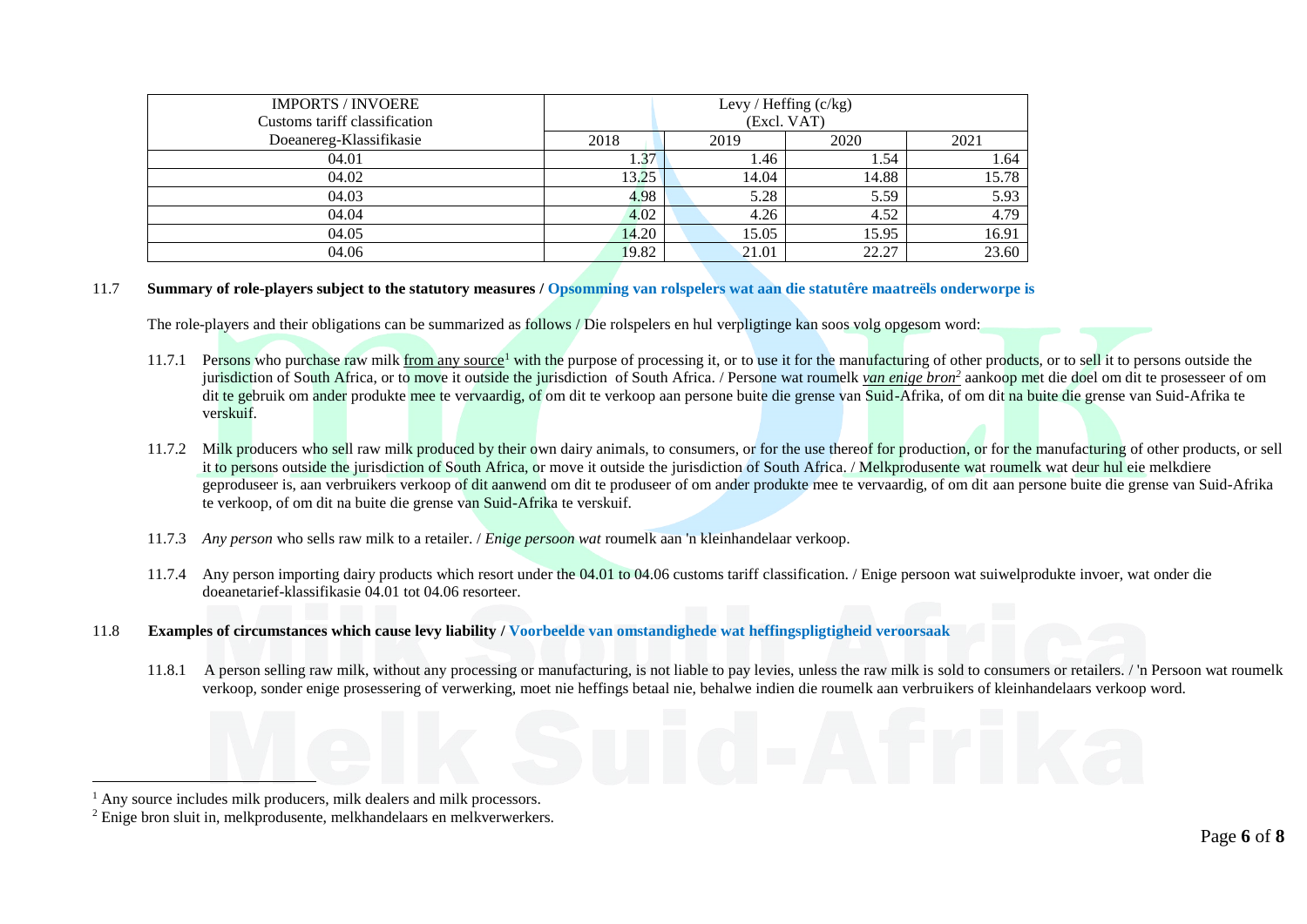| <b>IMPORTS / INVOERE</b><br>Customs tariff classification | Levy / Heffing (c/kg)<br>(Excl. VAT) |       |       |       |
|-----------------------------------------------------------|--------------------------------------|-------|-------|-------|
| Doeanereg-Klassifikasie                                   | 2018                                 | 2019  | 2020  | 2021  |
| 04.01                                                     | 1.37                                 | 1.46  | 1.54  | 1.64  |
| 04.02                                                     | 13.25                                | 14.04 | 14.88 | 15.78 |
| 04.03                                                     | 4.98                                 | 5.28  | 5.59  | 5.93  |
| 04.04                                                     | 4.02                                 | 4.26  | 4.52  | 4.79  |
| 04.05                                                     | 14.20                                | 15.05 | 15.95 | 16.91 |
| 04.06                                                     | 19.82                                | 21.01 | 22.27 | 23.60 |

#### 11.7 **Summary of role-players subject to the statutory measures / Opsomming van rolspelers wat aan die statutêre maatreëls onderworpe is**

The role-players and their obligations can be summarized as follows / Die rolspelers en hul verpligtinge kan soos volg opgesom word:

- 11.7.1 Persons who purchase raw milk from any source<sup>1</sup> with the purpose of processing it, or to use it for the manufacturing of other products, or to sell it to persons outside the jurisdiction of South Africa, or to move it outside the jurisdiction of South Africa. / Persone wat roumelk *van enige bron<sup>2</sup>* aankoop met die doel om dit te prosesseer of om dit te gebruik om ander produkte mee te vervaardig, of om dit te verkoop aan persone buite die grense van Suid-Afrika, of om dit na buite die grense van Suid-Afrika te verskuif.
- 11.7.2 Milk producers who sell raw milk produced by their own dairy animals, to consumers, or for the use thereof for production, or for the manufacturing of other products, or sell it to persons outside the jurisdiction of South Africa, or move it outside the jurisdiction of South Africa. / Melkprodusente wat roumelk wat deur hul eie melkdiere geproduseer is, aan verbruikers verkoop of dit aanwend om dit te produseer of om ander produkte mee te vervaardig, of om dit aan persone buite die grense van Suid-Afrika te verkoop, of om dit na buite die grense van Suid-Afrika te verskuif.
- 11.7.3 *Any person* who sells raw milk to a retailer. / *Enige persoon wat* roumelk aan 'n kleinhandelaar verkoop.
- 11.7.4 Any person importing dairy products which resort under the 04.01 to 04.06 customs tariff classification. / Enige persoon wat suiwelprodukte invoer, wat onder die doeanetarief-klassifikasie 04.01 tot 04.06 resorteer.
- 11.8 **Examples of circumstances which cause levy liability / Voorbeelde van omstandighede wat heffingspligtigheid veroorsaak**
	- 11.8.1 A person selling raw milk, without any processing or manufacturing, is not liable to pay levies, unless the raw milk is sold to consumers or retailers. / 'n Persoon wat roumelk verkoop, sonder enige prosessering of verwerking, moet nie heffings betaal nie, behalwe indien die roumelk aan verbruikers of kleinhandelaars verkoop word.

 $\overline{a}$ 

Any source includes milk producers, milk dealers and milk processors.

<sup>&</sup>lt;sup>2</sup> Enige bron sluit in, melkprodusente, melkhandelaars en melkverwerkers.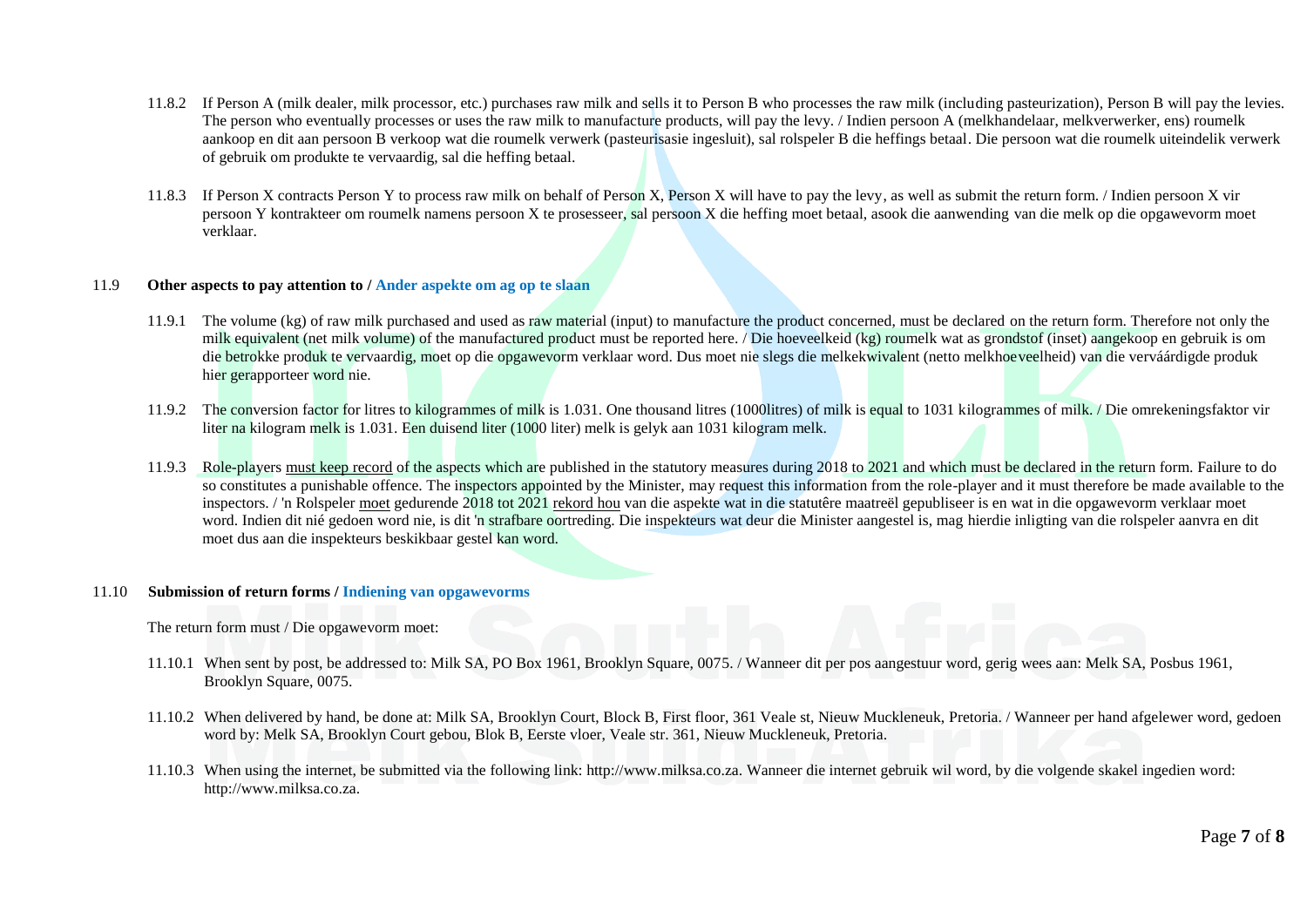- 11.8.2 If Person A (milk dealer, milk processor, etc.) purchases raw milk and sells it to Person B who processes the raw milk (including pasteurization), Person B will pay the levies. The person who eventually processes or uses the raw milk to manufacture products, will pay the levy. / Indien persoon A (melkhandelaar, melkverwerker, ens) roumelk aankoop en dit aan persoon B verkoop wat die roumelk verwerk (pasteurisasie ingesluit), sal rolspeler B die heffings betaal. Die persoon wat die roumelk uiteindelik verwerk of gebruik om produkte te vervaardig, sal die heffing betaal.
- 11.8.3 If Person X contracts Person Y to process raw milk on behalf of Person X, Person X will have to pay the levy, as well as submit the return form. / Indien persoon X vir persoon Y kontrakteer om roumelk namens persoon X te prosesseer, sal persoon X die heffing moet betaal, asook die aanwending van die melk op die opgawevorm moet verklaar.

#### 11.9 **Other aspects to pay attention to / Ander aspekte om ag op te slaan**

- 11.9.1 The volume (kg) of raw milk purchased and used as raw material (input) to manufacture the product concerned, must be declared on the return form. Therefore not only the milk equivalent (net milk volume) of the manufactured product must be reported here. / Die hoeveelkeid (kg) roumelk wat as grondstof (inset) aangekoop en gebruik is om die betrokke produk te vervaardig, moet op die opgawevorm verklaar word. Dus moet nie slegs die melkekwivalent (netto melkhoeveelheid) van die verváárdigde produk hier gerapporteer word nie.
- 11.9.2 The conversion factor for litres to kilogrammes of milk is 1.031. One thousand litres (1000litres) of milk is equal to 1031 kilogrammes of milk. / Die omrekeningsfaktor vir liter na kilogram melk is 1.031. Een duisend liter (1000 liter) melk is gelyk aan 1031 kilogram melk.
- 11.9.3 Role-players must keep record of the aspects which are published in the statutory measures during 2018 to 2021 and which must be declared in the return form. Failure to do so constitutes a punishable offence. The inspectors appointed by the Minister, may request this information from the role-player and it must therefore be made available to the inspectors. / 'n Rolspeler moet gedurende 2018 tot 2021 rekord hou van die aspekte wat in die statutêre maatreël gepubliseer is en wat in die opgawevorm verklaar moet word. Indien dit nié gedoen word nie, is dit 'n strafbare oortreding. Die inspekteurs wat deur die Minister aangestel is, mag hierdie inligting van die rolspeler aanvra en dit moet dus aan die inspekteurs beskikbaar gestel kan word.

#### 11.10 **Submission of return forms / Indiening van opgawevorms**

The return form must / Die opgawevorm moet:

- 11.10.1 When sent by post, be addressed to: Milk SA, PO Box 1961, Brooklyn Square, 0075. / Wanneer dit per pos aangestuur word, gerig wees aan: Melk SA, Posbus 1961, Brooklyn Square, 0075.
- 11.10.2 When delivered by hand, be done at: Milk SA, Brooklyn Court, Block B, First floor, 361 Veale st, Nieuw Muckleneuk, Pretoria. / Wanneer per hand afgelewer word, gedoen word by: Melk SA, Brooklyn Court gebou, Blok B, Eerste vloer, Veale str. 361, Nieuw Muckleneuk, Pretoria.
- 11.10.3 When using the internet, be submitted via the following link: http://www.milksa.co.za. Wanneer die internet gebruik wil word, by die volgende skakel ingedien word: http://www.milksa.co.za.